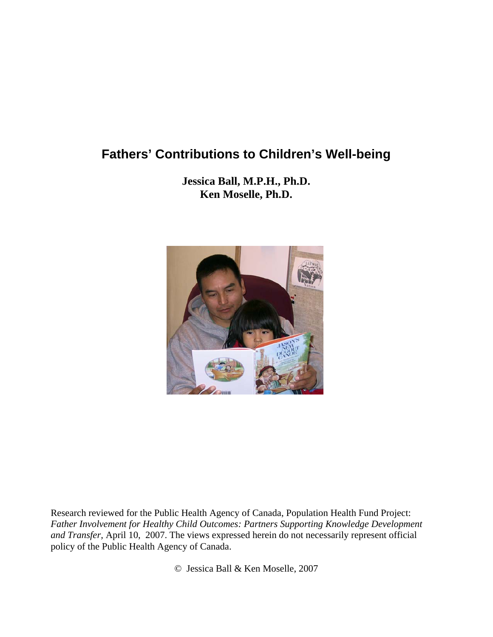# **Fathers' Contributions to Children's Well-being**

**Jessica Ball, M.P.H., Ph.D. Ken Moselle, Ph.D.** 



Research reviewed for the Public Health Agency of Canada, Population Health Fund Project: *Father Involvement for Healthy Child Outcomes: Partners Supporting Knowledge Development and Transfer,* April 10, 2007. The views expressed herein do not necessarily represent official policy of the Public Health Agency of Canada.

© Jessica Ball & Ken Moselle, 2007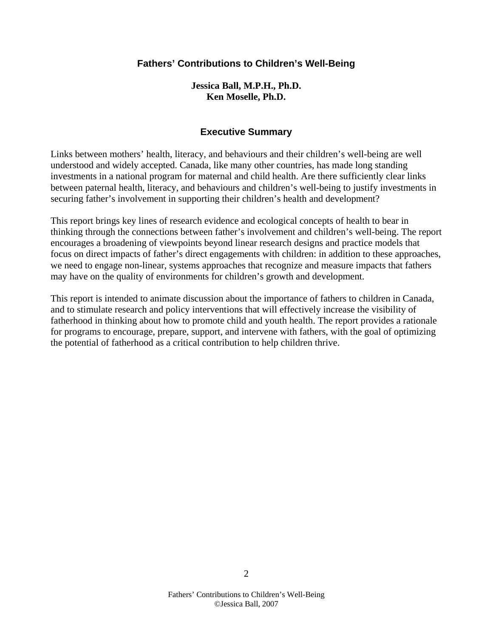## **Fathers' Contributions to Children's Well-Being**

**Jessica Ball, M.P.H., Ph.D. Ken Moselle, Ph.D.** 

### **Executive Summary**

Links between mothers' health, literacy, and behaviours and their children's well-being are well understood and widely accepted. Canada, like many other countries, has made long standing investments in a national program for maternal and child health. Are there sufficiently clear links between paternal health, literacy, and behaviours and children's well-being to justify investments in securing father's involvement in supporting their children's health and development?

This report brings key lines of research evidence and ecological concepts of health to bear in thinking through the connections between father's involvement and children's well-being. The report encourages a broadening of viewpoints beyond linear research designs and practice models that focus on direct impacts of father's direct engagements with children: in addition to these approaches, we need to engage non-linear, systems approaches that recognize and measure impacts that fathers may have on the quality of environments for children's growth and development.

This report is intended to animate discussion about the importance of fathers to children in Canada, and to stimulate research and policy interventions that will effectively increase the visibility of fatherhood in thinking about how to promote child and youth health. The report provides a rationale for programs to encourage, prepare, support, and intervene with fathers, with the goal of optimizing the potential of fatherhood as a critical contribution to help children thrive.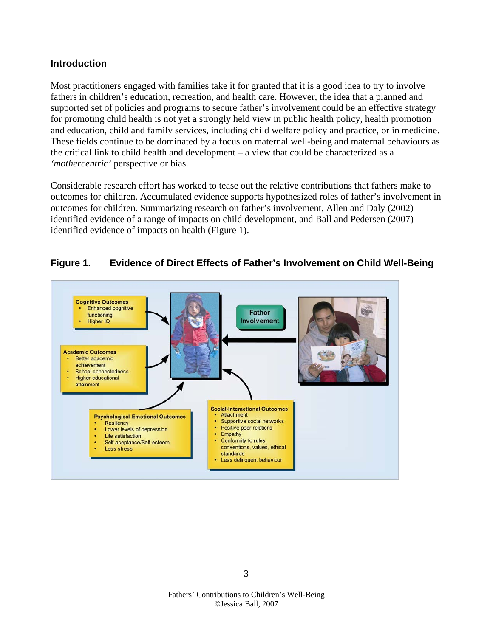### **Introduction**

Most practitioners engaged with families take it for granted that it is a good idea to try to involve fathers in children's education, recreation, and health care. However, the idea that a planned and supported set of policies and programs to secure father's involvement could be an effective strategy for promoting child health is not yet a strongly held view in public health policy, health promotion and education, child and family services, including child welfare policy and practice, or in medicine. These fields continue to be dominated by a focus on maternal well-being and maternal behaviours as the critical link to child health and development – a view that could be characterized as a *'mothercentric'* perspective or bias.

Considerable research effort has worked to tease out the relative contributions that fathers make to outcomes for children. Accumulated evidence supports hypothesized roles of father's involvement in outcomes for children. Summarizing research on father's involvement, Allen and Daly (2002) identified evidence of a range of impacts on child development, and Ball and Pedersen (2007) identified evidence of impacts on health (Figure 1).



### **Figure 1. Evidence of Direct Effects of Father's Involvement on Child Well-Being**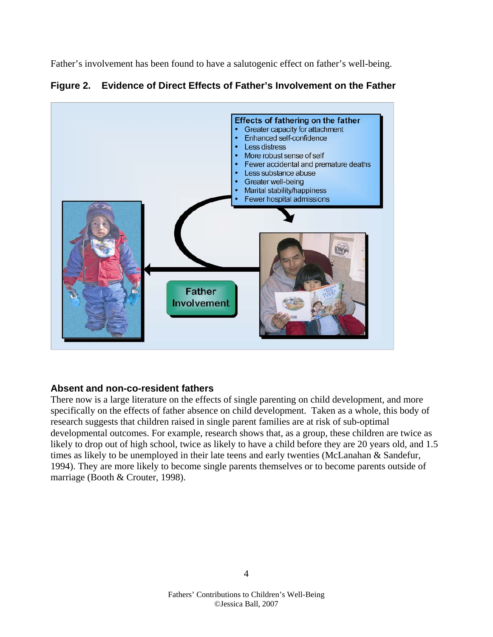Father's involvement has been found to have a salutogenic effect on father's well-being.



**Figure 2. Evidence of Direct Effects of Father's Involvement on the Father** 

## **Absent and non-co-resident fathers**

There now is a large literature on the effects of single parenting on child development, and more specifically on the effects of father absence on child development. Taken as a whole, this body of research suggests that children raised in single parent families are at risk of sub-optimal developmental outcomes. For example, research shows that, as a group, these children are twice as likely to drop out of high school, twice as likely to have a child before they are 20 years old, and 1.5 times as likely to be unemployed in their late teens and early twenties (McLanahan & Sandefur, 1994). They are more likely to become single parents themselves or to become parents outside of marriage (Booth & Crouter, 1998).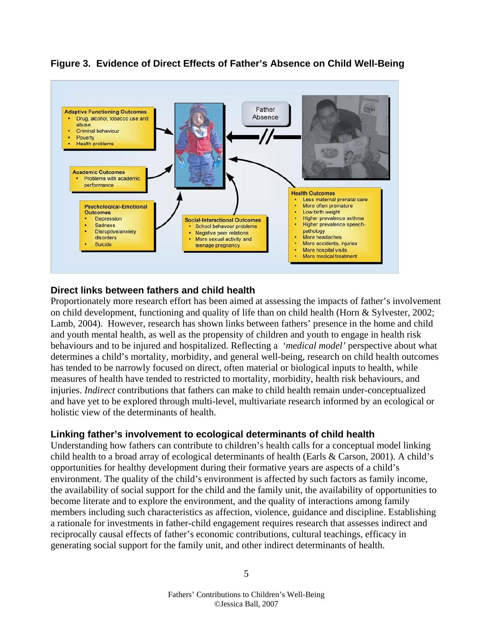

## **Figure 3. Evidence of Direct Effects of Father's Absence on Child Well-Being**

## **Direct links between fathers and child health**

Proportionately more research effort has been aimed at assessing the impacts of father's involvement on child development, functioning and quality of life than on child health (Horn & Sylvester, 2002; Lamb, 2004). However, research has shown links between fathers' presence in the home and child and youth mental health, as well as the propensity of children and youth to engage in health risk behaviours and to be injured and hospitalized. Reflecting a *'medical model'* perspective about what determines a child's mortality, morbidity, and general well-being, research on child health outcomes has tended to be narrowly focused on direct, often material or biological inputs to health, while measures of health have tended to restricted to mortality, morbidity, health risk behaviours, and injuries. *Indirect* contributions that fathers can make to child health remain under-conceptualized and have yet to be explored through multi-level, multivariate research informed by an ecological or holistic view of the determinants of health.

# **Linking father's involvement to ecological determinants of child health**

Understanding how fathers can contribute to children's health calls for a conceptual model linking child health to a broad array of ecological determinants of health (Earls & Carson, 2001). A child's opportunities for healthy development during their formative years are aspects of a child's environment. The quality of the child's environment is affected by such factors as family income, the availability of social support for the child and the family unit, the availability of opportunities to become literate and to explore the environment, and the quality of interactions among family members including such characteristics as affection, violence, guidance and discipline. Establishing a rationale for investments in father-child engagement requires research that assesses indirect and reciprocally causal effects of father's economic contributions, cultural teachings, efficacy in generating social support for the family unit, and other indirect determinants of health.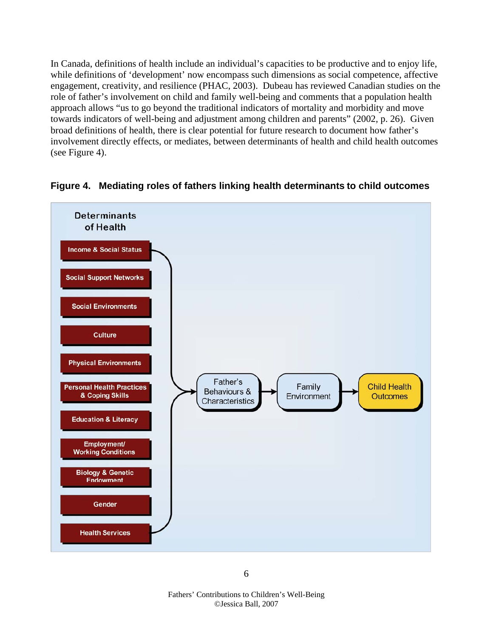In Canada, definitions of health include an individual's capacities to be productive and to enjoy life, while definitions of 'development' now encompass such dimensions as social competence, affective engagement, creativity, and resilience (PHAC, 2003). Dubeau has reviewed Canadian studies on the role of father's involvement on child and family well-being and comments that a population health approach allows "us to go beyond the traditional indicators of mortality and morbidity and move towards indicators of well-being and adjustment among children and parents" (2002, p. 26). Given broad definitions of health, there is clear potential for future research to document how father's involvement directly effects, or mediates, between determinants of health and child health outcomes (see Figure 4).



**Figure 4. Mediating roles of fathers linking health determinants to child outcomes** 

 $\sim$  6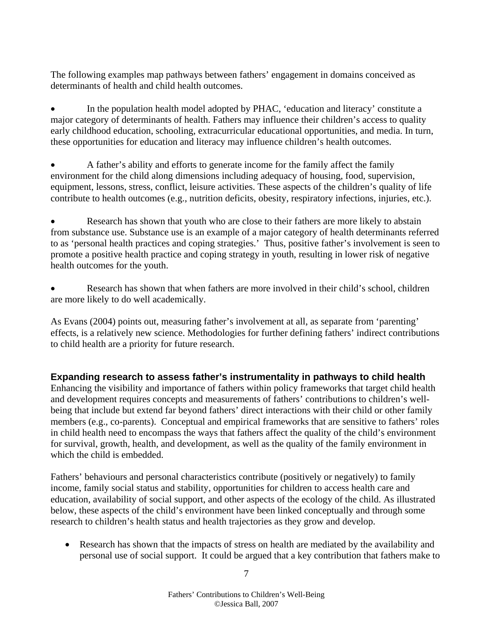The following examples map pathways between fathers' engagement in domains conceived as determinants of health and child health outcomes.

• In the population health model adopted by PHAC, 'education and literacy' constitute a major category of determinants of health. Fathers may influence their children's access to quality early childhood education, schooling, extracurricular educational opportunities, and media. In turn, these opportunities for education and literacy may influence children's health outcomes.

• A father's ability and efforts to generate income for the family affect the family environment for the child along dimensions including adequacy of housing, food, supervision, equipment, lessons, stress, conflict, leisure activities. These aspects of the children's quality of life contribute to health outcomes (e.g., nutrition deficits, obesity, respiratory infections, injuries, etc.).

Research has shown that youth who are close to their fathers are more likely to abstain from substance use. Substance use is an example of a major category of health determinants referred to as 'personal health practices and coping strategies.' Thus, positive father's involvement is seen to promote a positive health practice and coping strategy in youth, resulting in lower risk of negative health outcomes for the youth.

• Research has shown that when fathers are more involved in their child's school, children are more likely to do well academically.

As Evans (2004) points out, measuring father's involvement at all, as separate from 'parenting' effects, is a relatively new science. Methodologies for further defining fathers' indirect contributions to child health are a priority for future research.

# **Expanding research to assess father's instrumentality in pathways to child health**

Enhancing the visibility and importance of fathers within policy frameworks that target child health and development requires concepts and measurements of fathers' contributions to children's wellbeing that include but extend far beyond fathers' direct interactions with their child or other family members (e.g., co-parents). Conceptual and empirical frameworks that are sensitive to fathers' roles in child health need to encompass the ways that fathers affect the quality of the child's environment for survival, growth, health, and development, as well as the quality of the family environment in which the child is embedded.

Fathers' behaviours and personal characteristics contribute (positively or negatively) to family income, family social status and stability, opportunities for children to access health care and education, availability of social support, and other aspects of the ecology of the child. As illustrated below, these aspects of the child's environment have been linked conceptually and through some research to children's health status and health trajectories as they grow and develop.

• Research has shown that the impacts of stress on health are mediated by the availability and personal use of social support. It could be argued that a key contribution that fathers make to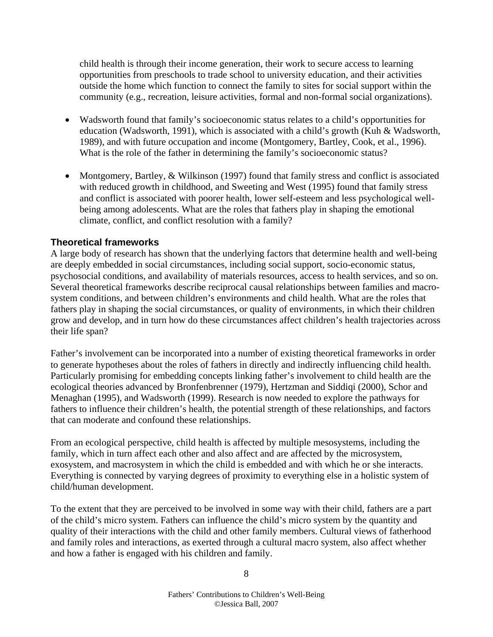child health is through their income generation, their work to secure access to learning opportunities from preschools to trade school to university education, and their activities outside the home which function to connect the family to sites for social support within the community (e.g., recreation, leisure activities, formal and non-formal social organizations).

- Wadsworth found that family's socioeconomic status relates to a child's opportunities for education (Wadsworth, 1991), which is associated with a child's growth (Kuh & Wadsworth, 1989), and with future occupation and income (Montgomery, Bartley, Cook, et al., 1996). What is the role of the father in determining the family's socioeconomic status?
- Montgomery, Bartley, & Wilkinson (1997) found that family stress and conflict is associated with reduced growth in childhood, and Sweeting and West (1995) found that family stress and conflict is associated with poorer health, lower self-esteem and less psychological wellbeing among adolescents. What are the roles that fathers play in shaping the emotional climate, conflict, and conflict resolution with a family?

### **Theoretical frameworks**

A large body of research has shown that the underlying factors that determine health and well-being are deeply embedded in social circumstances, including social support, socio-economic status, psychosocial conditions, and availability of materials resources, access to health services, and so on. Several theoretical frameworks describe reciprocal causal relationships between families and macrosystem conditions, and between children's environments and child health. What are the roles that fathers play in shaping the social circumstances, or quality of environments, in which their children grow and develop, and in turn how do these circumstances affect children's health trajectories across their life span?

Father's involvement can be incorporated into a number of existing theoretical frameworks in order to generate hypotheses about the roles of fathers in directly and indirectly influencing child health. Particularly promising for embedding concepts linking father's involvement to child health are the ecological theories advanced by Bronfenbrenner (1979), Hertzman and Siddiqi (2000), Schor and Menaghan (1995), and Wadsworth (1999). Research is now needed to explore the pathways for fathers to influence their children's health, the potential strength of these relationships, and factors that can moderate and confound these relationships.

From an ecological perspective, child health is affected by multiple mesosystems, including the family, which in turn affect each other and also affect and are affected by the microsystem, exosystem, and macrosystem in which the child is embedded and with which he or she interacts. Everything is connected by varying degrees of proximity to everything else in a holistic system of child/human development.

To the extent that they are perceived to be involved in some way with their child, fathers are a part of the child's micro system. Fathers can influence the child's micro system by the quantity and quality of their interactions with the child and other family members. Cultural views of fatherhood and family roles and interactions, as exerted through a cultural macro system, also affect whether and how a father is engaged with his children and family.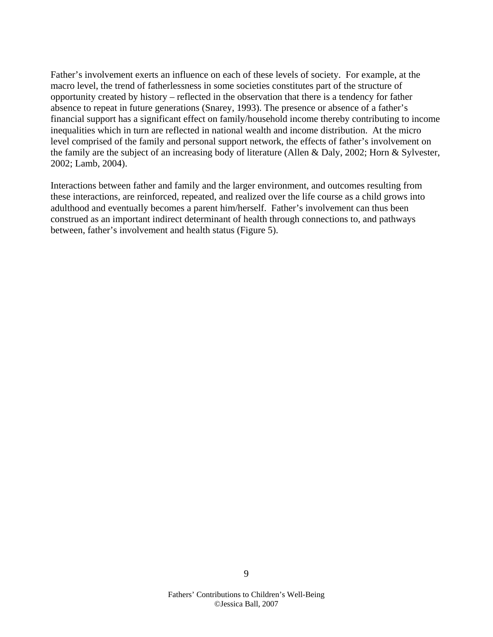Father's involvement exerts an influence on each of these levels of society. For example, at the macro level, the trend of fatherlessness in some societies constitutes part of the structure of opportunity created by history – reflected in the observation that there is a tendency for father absence to repeat in future generations (Snarey, 1993). The presence or absence of a father's financial support has a significant effect on family/household income thereby contributing to income inequalities which in turn are reflected in national wealth and income distribution. At the micro level comprised of the family and personal support network, the effects of father's involvement on the family are the subject of an increasing body of literature (Allen & Daly, 2002; Horn & Sylvester, 2002; Lamb, 2004).

Interactions between father and family and the larger environment, and outcomes resulting from these interactions, are reinforced, repeated, and realized over the life course as a child grows into adulthood and eventually becomes a parent him/herself. Father's involvement can thus been construed as an important indirect determinant of health through connections to, and pathways between, father's involvement and health status (Figure 5).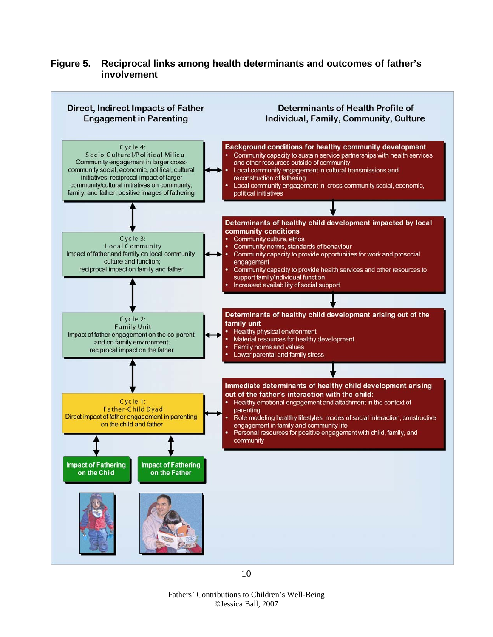## **Figure 5. Reciprocal links among health determinants and outcomes of father's involvement**

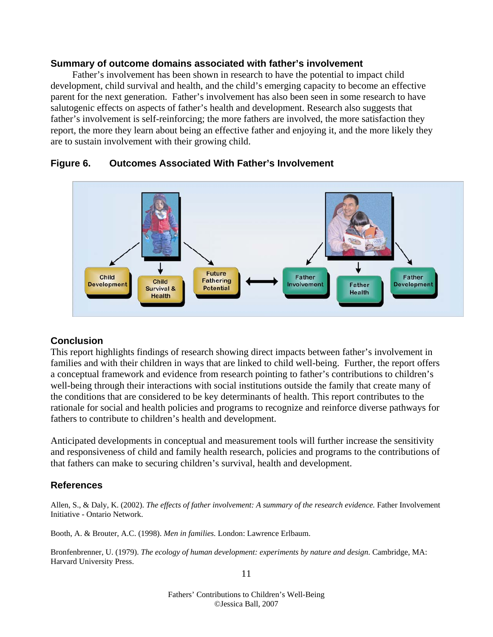#### **Summary of outcome domains associated with father's involvement**

 Father's involvement has been shown in research to have the potential to impact child development, child survival and health, and the child's emerging capacity to become an effective parent for the next generation. Father's involvement has also been seen in some research to have salutogenic effects on aspects of father's health and development. Research also suggests that father's involvement is self-reinforcing; the more fathers are involved, the more satisfaction they report, the more they learn about being an effective father and enjoying it, and the more likely they are to sustain involvement with their growing child.



## **Figure 6. Outcomes Associated With Father's Involvement**

# **Conclusion**

This report highlights findings of research showing direct impacts between father's involvement in families and with their children in ways that are linked to child well-being. Further, the report offers a conceptual framework and evidence from research pointing to father's contributions to children's well-being through their interactions with social institutions outside the family that create many of the conditions that are considered to be key determinants of health. This report contributes to the rationale for social and health policies and programs to recognize and reinforce diverse pathways for fathers to contribute to children's health and development.

Anticipated developments in conceptual and measurement tools will further increase the sensitivity and responsiveness of child and family health research, policies and programs to the contributions of that fathers can make to securing children's survival, health and development.

# **References**

Allen, S., & Daly, K. (2002). *The effects of father involvement: A summary of the research evidence*. Father Involvement Initiative - Ontario Network.

Booth, A. & Brouter, A.C. (1998). *Men in families.* London: Lawrence Erlbaum.

Bronfenbrenner, U. (1979). *The ecology of human development: experiments by nature and design*. Cambridge, MA: Harvard University Press.

11

Fathers' Contributions to Children's Well-Being ©Jessica Ball, 2007